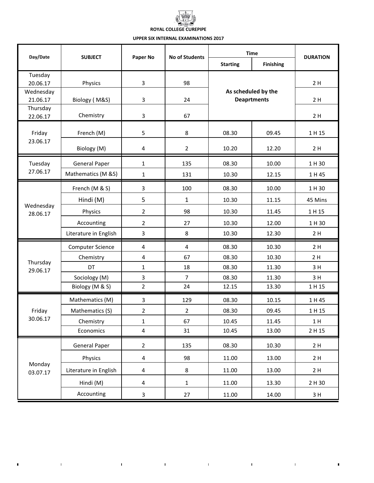# **ROYAL COLLEGE CUREPIPE**

### **UPPER SIX INTERNAL EXAMINATIONS 2017**

| Day/Date              | <b>SUBJECT</b>          | Paper No                | No of Students          | <b>Time</b>                               |                  | <b>DURATION</b> |
|-----------------------|-------------------------|-------------------------|-------------------------|-------------------------------------------|------------------|-----------------|
|                       |                         |                         |                         | <b>Starting</b>                           | <b>Finishing</b> |                 |
| Tuesday<br>20.06.17   |                         | 3                       | 98                      | As scheduled by the<br><b>Deaprtments</b> |                  | 2H              |
| Wednesday             | Physics                 |                         |                         |                                           |                  |                 |
| 21.06.17              | Biology (M&S)           | 3                       | 24                      |                                           |                  | 2H              |
| Thursday<br>22.06.17  | Chemistry               | 3                       | 67                      |                                           |                  | 2H              |
| Friday<br>23.06.17    | French (M)              | 5                       | 8                       | 08.30                                     | 09.45            | 1 H 15          |
|                       | Biology (M)             | 4                       | $\overline{2}$          | 10.20                                     | 12.20            | 2H              |
| Tuesday               | <b>General Paper</b>    | $\mathbf{1}$            | 135                     | 08.30                                     | 10.00            | 1 H 30          |
| 27.06.17              | Mathematics (M &S)      | $\mathbf{1}$            | 131                     | 10.30                                     | 12.15            | 1 H 45          |
|                       | French (M & S)          | 3                       | 100                     | 08.30                                     | 10.00            | 1 H 30          |
|                       | Hindi (M)               | 5                       | $\mathbf{1}$            | 10.30                                     | 11.15            | 45 Mins         |
| Wednesday<br>28.06.17 | Physics                 | 2                       | 98                      | 10.30                                     | 11.45            | 1 H 15          |
|                       | Accounting              | $\overline{2}$          | 27                      | 10.30                                     | 12.00            | 1 H 30          |
|                       | Literature in English   | 3                       | 8                       | 10.30                                     | 12.30            | 2H              |
| Thursday<br>29.06.17  | <b>Computer Science</b> | 4                       | $\overline{\mathbf{4}}$ | 08.30                                     | 10.30            | 2H              |
|                       | Chemistry               | 4                       | 67                      | 08.30                                     | 10.30            | 2H              |
|                       | DT                      | $\mathbf 1$             | 18                      | 08.30                                     | 11.30            | 3H              |
|                       | Sociology (M)           | 3                       | $\overline{7}$          | 08.30                                     | 11.30            | 3H              |
|                       | Biology (M & S)         | $\overline{2}$          | 24                      | 12.15                                     | 13.30            | 1 H 15          |
|                       | Mathematics (M)         | 3                       | 129                     | 08.30                                     | 10.15            | 1 H 45          |
| Friday<br>30.06.17    | Mathematics (S)         | 2                       | $\overline{2}$          | 08.30                                     | 09.45            | 1 H 15          |
|                       | Chemistry               | 1                       | 67                      | 10.45                                     | 11.45            | 1H              |
|                       | Economics               | 4                       | 31                      | 10.45                                     | 13.00            | 2 H 15          |
| Monday<br>03.07.17    | <b>General Paper</b>    | $\overline{2}$          | 135                     | 08.30                                     | 10.30            | 2H              |
|                       | Physics                 | 4                       | 98                      | 11.00                                     | 13.00            | 2H              |
|                       | Literature in English   | $\overline{\mathbf{4}}$ | 8                       | 11.00                                     | 13.00            | 2H              |
|                       | Hindi (M)               | 4                       | $\mathbf{1}$            | 11.00                                     | 13.30            | 2 H 30          |
|                       | Accounting              | $\mathbf{3}$            | 27                      | 11.00                                     | 14.00            | 3H              |

the control of the control of the control of the

 $\mathcal{L}^{\text{max}}_{\text{max}}$  and  $\mathcal{L}^{\text{max}}_{\text{max}}$ 

 $\blacksquare$ 

 $\blacksquare$ 

 $\sim 10^{11}$  km s  $^{-1}$  M  $_{\odot}$ 

 $\mathbf{I}$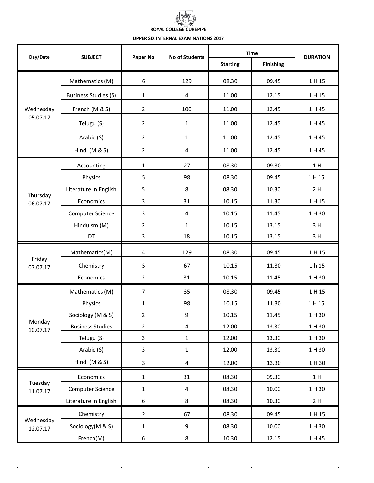## **ROYAL COLLEGE CUREPIPE**

### **UPPER SIX INTERNAL EXAMINATIONS 2017**

| Day/Date              | <b>SUBJECT</b>              | Paper No                | No of Students | <b>Time</b>     |                  | <b>DURATION</b> |
|-----------------------|-----------------------------|-------------------------|----------------|-----------------|------------------|-----------------|
|                       |                             |                         |                | <b>Starting</b> | <b>Finishing</b> |                 |
| Wednesday<br>05.07.17 | Mathematics (M)             | 6                       | 129            | 08.30           | 09.45            | 1 H 15          |
|                       | <b>Business Studies (S)</b> | $\mathbf{1}$            | 4              | 11.00           | 12.15            | 1 H 15          |
|                       | French (M & S)              | $\overline{2}$          | 100            | 11.00           | 12.45            | 1 H 45          |
|                       | Telugu (S)                  | $\overline{2}$          | 1              | 11.00           | 12.45            | 1 H 45          |
|                       | Arabic (S)                  | $\overline{a}$          | 1              | 11.00           | 12.45            | 1 H 45          |
|                       | Hindi (M & S)               | $\overline{2}$          | 4              | 11.00           | 12.45            | 1 H 45          |
|                       | Accounting                  | $\mathbf{1}$            | 27             | 08.30           | 09.30            | 1H              |
|                       | Physics                     | 5                       | 98             | 08.30           | 09.45            | 1 H 15          |
|                       | Literature in English       | 5                       | 8              | 08.30           | 10.30            | 2H              |
| Thursday<br>06.07.17  | Economics                   | 3                       | 31             | 10.15           | 11.30            | 1 H 15          |
|                       | <b>Computer Science</b>     | 3                       | 4              | 10.15           | 11.45            | 1 H 30          |
|                       | Hinduism (M)                | 2                       | 1              | 10.15           | 13.15            | 3H              |
|                       | DT                          | 3                       | 18             | 10.15           | 13.15            | 3H              |
|                       | Mathematics(M)              | $\overline{\mathbf{4}}$ | 129            | 08.30           | 09.45            | 1 H 15          |
| Friday<br>07.07.17    | Chemistry                   | 5                       | 67             | 10.15           | 11.30            | 1 h 15          |
|                       | Economics                   | $\overline{2}$          | 31             | 10.15           | 11.45            | 1 H 30          |
|                       | Mathematics (M)             | $\overline{7}$          | 35             | 08.30           | 09.45            | 1 H 15          |
|                       | Physics                     | 1                       | 98             | 10.15           | 11.30            | 1 H 15          |
|                       | Sociology (M & S)           | $\overline{2}$          | 9              | 10.15           | 11.45            | 1 H 30          |
| Monday<br>10.07.17    | <b>Business Studies</b>     | $\overline{2}$          | 4              | 12.00           | 13.30            | 1 H 30          |
|                       | Telugu (S)                  | 3                       | $\mathbf{1}$   | 12.00           | 13.30            | 1 H 30          |
|                       | Arabic (S)                  | $\overline{\mathbf{3}}$ | $\mathbf{1}$   | 12.00           | 13.30            | 1 H 30          |
|                       | Hindi (M & S)               | 3                       | 4              | 12.00           | 13.30            | 1 H 30          |
| Tuesday<br>11.07.17   | Economics                   | $\mathbf{1}$            | 31             | 08.30           | 09.30            | 1H              |
|                       | <b>Computer Science</b>     | $\mathbf 1$             | 4              | 08.30           | 10.00            | 1 H 30          |
|                       | Literature in English       | $\boldsymbol{6}$        | 8              | 08.30           | 10.30            | 2H              |
| Wednesday<br>12.07.17 | Chemistry                   | $\overline{2}$          | 67             | 08.30           | 09.45            | 1 H 15          |
|                       | Sociology(M & S)            | $\mathbf 1$             | 9              | 08.30           | 10.00            | 1 H 30          |
|                       | French(M)                   | 6                       | 8              | 10.30           | 12.15            | 1 H 45          |

and the state of the state of

 $\mathbf{r}$ 

 $\blacksquare$ 

 $\hat{\mathbf{r}}$ 

 $\blacksquare$ 

 $\hat{\mathbf{J}}$ 

 $\hat{\mathbf{r}}$